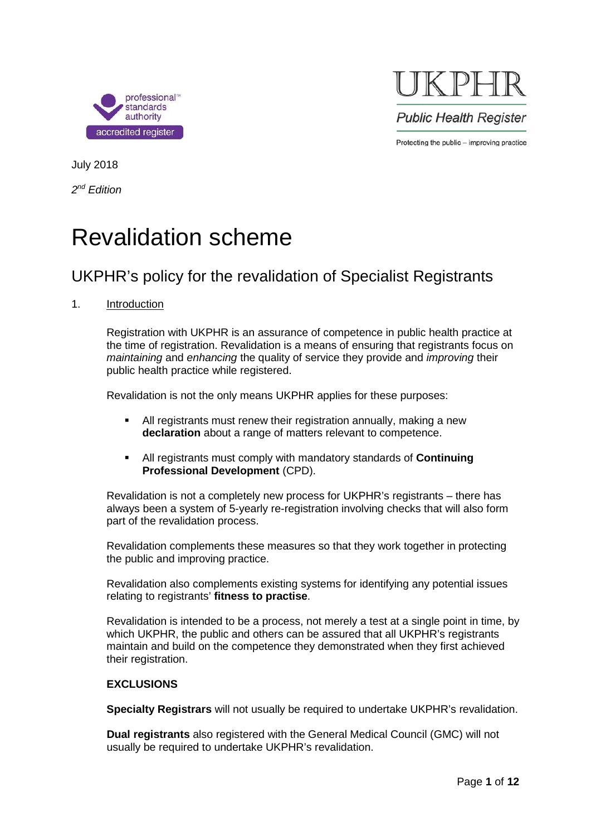

 $KPI$ **Public Health Register** Protecting the public - improving practice

July 2018

*2nd Edition*

# Revalidation scheme

### UKPHR's policy for the revalidation of Specialist Registrants

#### 1. Introduction

Registration with UKPHR is an assurance of competence in public health practice at the time of registration. Revalidation is a means of ensuring that registrants focus on *maintaining* and *enhancing* the quality of service they provide and *improving* their public health practice while registered.

Revalidation is not the only means UKPHR applies for these purposes:

- All registrants must renew their registration annually, making a new **declaration** about a range of matters relevant to competence.
- All registrants must comply with mandatory standards of **Continuing Professional Development** (CPD).

Revalidation is not a completely new process for UKPHR's registrants – there has always been a system of 5-yearly re-registration involving checks that will also form part of the revalidation process.

Revalidation complements these measures so that they work together in protecting the public and improving practice.

Revalidation also complements existing systems for identifying any potential issues relating to registrants' **fitness to practise**.

Revalidation is intended to be a process, not merely a test at a single point in time, by which UKPHR, the public and others can be assured that all UKPHR's registrants maintain and build on the competence they demonstrated when they first achieved their registration.

#### **EXCLUSIONS**

**Specialty Registrars** will not usually be required to undertake UKPHR's revalidation.

**Dual registrants** also registered with the General Medical Council (GMC) will not usually be required to undertake UKPHR's revalidation.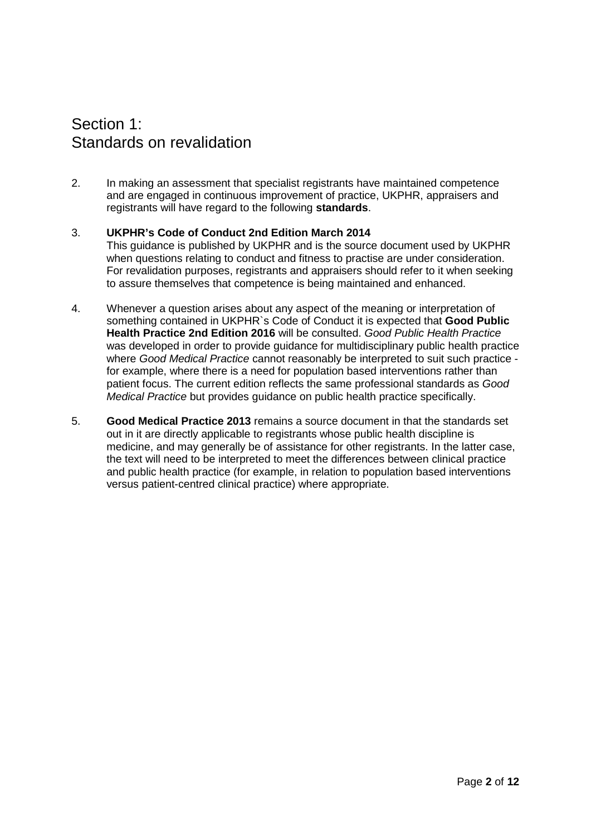### Section 1: Standards on revalidation

2. In making an assessment that specialist registrants have maintained competence and are engaged in continuous improvement of practice, UKPHR, appraisers and registrants will have regard to the following **standards**.

#### 3. **UKPHR's Code of Conduct 2nd Edition March 2014**

This guidance is published by UKPHR and is the source document used by UKPHR when questions relating to conduct and fitness to practise are under consideration. For revalidation purposes, registrants and appraisers should refer to it when seeking to assure themselves that competence is being maintained and enhanced.

- 4. Whenever a question arises about any aspect of the meaning or interpretation of something contained in UKPHR`s Code of Conduct it is expected that **Good Public Health Practice 2nd Edition 2016** will be consulted. *Good Public Health Practice* was developed in order to provide guidance for multidisciplinary public health practice where *Good Medical Practice* cannot reasonably be interpreted to suit such practice for example, where there is a need for population based interventions rather than patient focus. The current edition reflects the same professional standards as *Good Medical Practice* but provides guidance on public health practice specifically.
- 5. **Good Medical Practice 2013** remains a source document in that the standards set out in it are directly applicable to registrants whose public health discipline is medicine, and may generally be of assistance for other registrants. In the latter case, the text will need to be interpreted to meet the differences between clinical practice and public health practice (for example, in relation to population based interventions versus patient-centred clinical practice) where appropriate.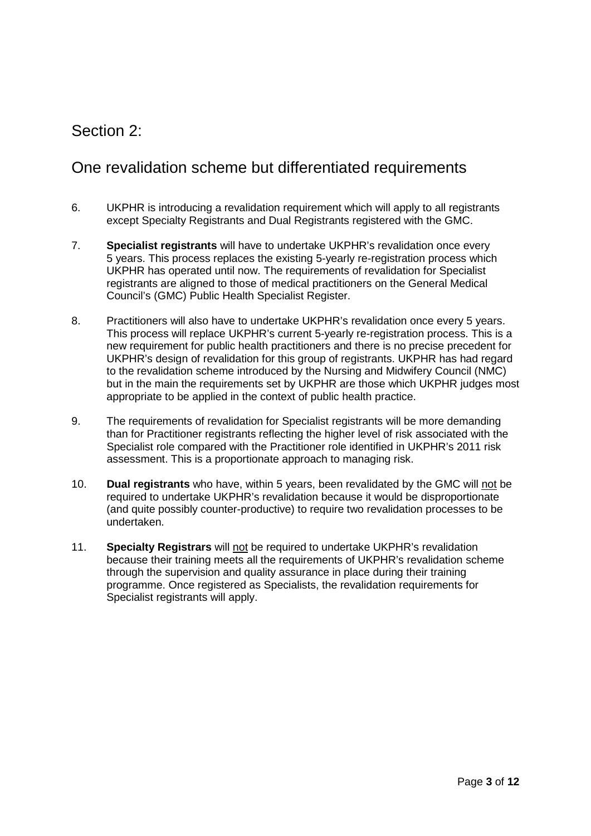### Section 2:

### One revalidation scheme but differentiated requirements

- 6. UKPHR is introducing a revalidation requirement which will apply to all registrants except Specialty Registrants and Dual Registrants registered with the GMC.
- 7. **Specialist registrants** will have to undertake UKPHR's revalidation once every 5 years. This process replaces the existing 5-yearly re-registration process which UKPHR has operated until now. The requirements of revalidation for Specialist registrants are aligned to those of medical practitioners on the General Medical Council's (GMC) Public Health Specialist Register.
- 8. Practitioners will also have to undertake UKPHR's revalidation once every 5 years. This process will replace UKPHR's current 5-yearly re-registration process. This is a new requirement for public health practitioners and there is no precise precedent for UKPHR's design of revalidation for this group of registrants. UKPHR has had regard to the revalidation scheme introduced by the Nursing and Midwifery Council (NMC) but in the main the requirements set by UKPHR are those which UKPHR judges most appropriate to be applied in the context of public health practice.
- 9. The requirements of revalidation for Specialist registrants will be more demanding than for Practitioner registrants reflecting the higher level of risk associated with the Specialist role compared with the Practitioner role identified in UKPHR's 2011 risk assessment. This is a proportionate approach to managing risk.
- 10. **Dual registrants** who have, within 5 years, been revalidated by the GMC will not be required to undertake UKPHR's revalidation because it would be disproportionate (and quite possibly counter-productive) to require two revalidation processes to be undertaken.
- 11. **Specialty Registrars** will not be required to undertake UKPHR's revalidation because their training meets all the requirements of UKPHR's revalidation scheme through the supervision and quality assurance in place during their training programme. Once registered as Specialists, the revalidation requirements for Specialist registrants will apply.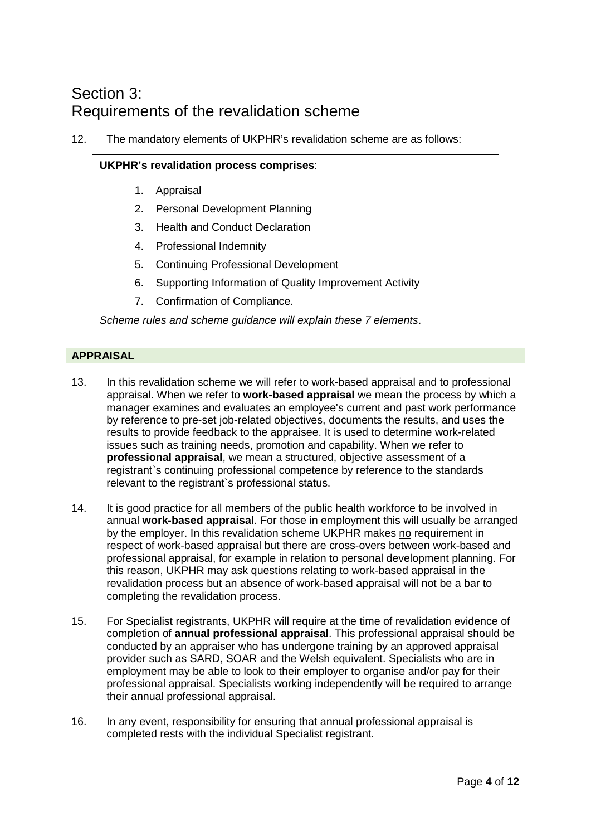### Section 3: Requirements of the revalidation scheme

12. The mandatory elements of UKPHR's revalidation scheme are as follows:

#### **UKPHR's revalidation process comprises**:

- 1. Appraisal
- 2. Personal Development Planning
- 3. Health and Conduct Declaration
- 4. Professional Indemnity
- 5. Continuing Professional Development
- 6. Supporting Information of Quality Improvement Activity
- 7. Confirmation of Compliance.

*Scheme rules and scheme guidance will explain these 7 elements*.

#### **APPRAISAL**

- 13. In this revalidation scheme we will refer to work-based appraisal and to professional appraisal. When we refer to **work-based appraisal** we mean the process by which a manager examines and evaluates an employee's current and past work performance by reference to pre-set job-related objectives, documents the results, and uses the results to provide feedback to the appraisee. It is used to determine work-related issues such as training needs, promotion and capability. When we refer to **professional appraisal**, we mean a structured, objective assessment of a registrant`s continuing professional competence by reference to the standards relevant to the registrant`s professional status.
- 14. It is good practice for all members of the public health workforce to be involved in annual **work-based appraisal**. For those in employment this will usually be arranged by the employer. In this revalidation scheme UKPHR makes no requirement in respect of work-based appraisal but there are cross-overs between work-based and professional appraisal, for example in relation to personal development planning. For this reason, UKPHR may ask questions relating to work-based appraisal in the revalidation process but an absence of work-based appraisal will not be a bar to completing the revalidation process.
- 15. For Specialist registrants, UKPHR will require at the time of revalidation evidence of completion of **annual professional appraisal**. This professional appraisal should be conducted by an appraiser who has undergone training by an approved appraisal provider such as SARD, SOAR and the Welsh equivalent. Specialists who are in employment may be able to look to their employer to organise and/or pay for their professional appraisal. Specialists working independently will be required to arrange their annual professional appraisal.
- 16. In any event, responsibility for ensuring that annual professional appraisal is completed rests with the individual Specialist registrant.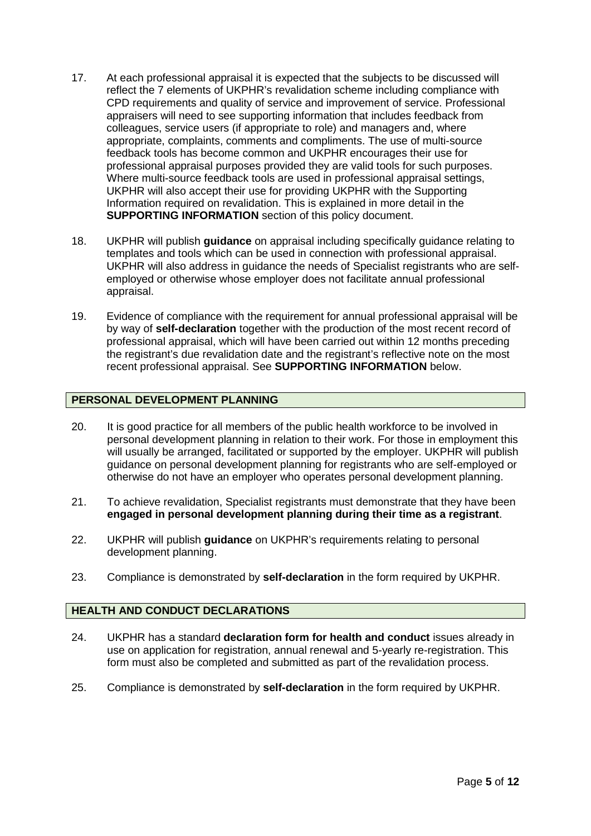- 17. At each professional appraisal it is expected that the subjects to be discussed will reflect the 7 elements of UKPHR's revalidation scheme including compliance with CPD requirements and quality of service and improvement of service. Professional appraisers will need to see supporting information that includes feedback from colleagues, service users (if appropriate to role) and managers and, where appropriate, complaints, comments and compliments. The use of multi-source feedback tools has become common and UKPHR encourages their use for professional appraisal purposes provided they are valid tools for such purposes. Where multi-source feedback tools are used in professional appraisal settings, UKPHR will also accept their use for providing UKPHR with the Supporting Information required on revalidation. This is explained in more detail in the **SUPPORTING INFORMATION** section of this policy document.
- 18. UKPHR will publish **guidance** on appraisal including specifically guidance relating to templates and tools which can be used in connection with professional appraisal. UKPHR will also address in guidance the needs of Specialist registrants who are selfemployed or otherwise whose employer does not facilitate annual professional appraisal.
- 19. Evidence of compliance with the requirement for annual professional appraisal will be by way of **self-declaration** together with the production of the most recent record of professional appraisal, which will have been carried out within 12 months preceding the registrant's due revalidation date and the registrant's reflective note on the most recent professional appraisal. See **SUPPORTING INFORMATION** below.

#### **PERSONAL DEVELOPMENT PLANNING**

- 20. It is good practice for all members of the public health workforce to be involved in personal development planning in relation to their work. For those in employment this will usually be arranged, facilitated or supported by the employer. UKPHR will publish guidance on personal development planning for registrants who are self-employed or otherwise do not have an employer who operates personal development planning.
- 21. To achieve revalidation, Specialist registrants must demonstrate that they have been **engaged in personal development planning during their time as a registrant**.
- 22. UKPHR will publish **guidance** on UKPHR's requirements relating to personal development planning.
- 23. Compliance is demonstrated by **self-declaration** in the form required by UKPHR.

#### **HEALTH AND CONDUCT DECLARATIONS**

- 24. UKPHR has a standard **declaration form for health and conduct** issues already in use on application for registration, annual renewal and 5-yearly re-registration. This form must also be completed and submitted as part of the revalidation process.
- 25. Compliance is demonstrated by **self-declaration** in the form required by UKPHR.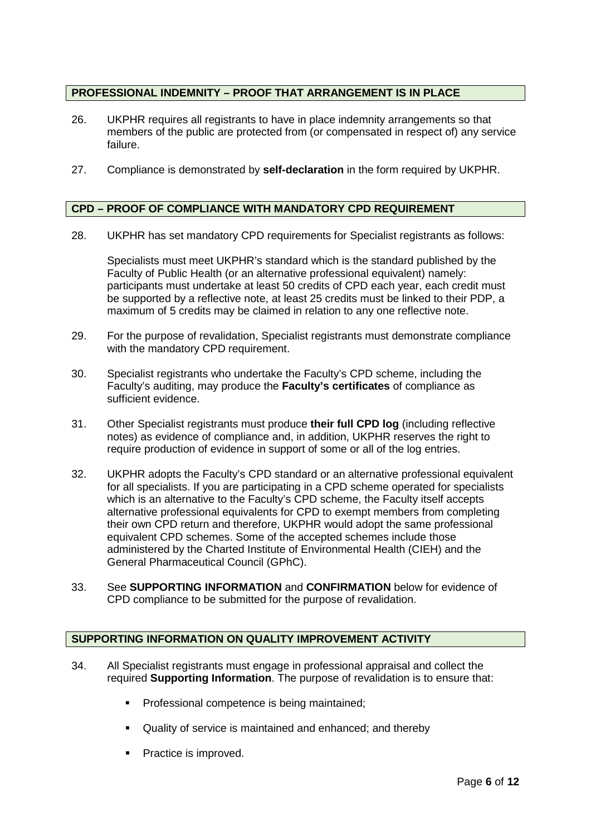#### **PROFESSIONAL INDEMNITY – PROOF THAT ARRANGEMENT IS IN PLACE**

- 26. UKPHR requires all registrants to have in place indemnity arrangements so that members of the public are protected from (or compensated in respect of) any service failure.
- 27. Compliance is demonstrated by **self-declaration** in the form required by UKPHR.

#### **CPD – PROOF OF COMPLIANCE WITH MANDATORY CPD REQUIREMENT**

28. UKPHR has set mandatory CPD requirements for Specialist registrants as follows:

Specialists must meet UKPHR's standard which is the standard published by the Faculty of Public Health (or an alternative professional equivalent) namely: participants must undertake at least 50 credits of CPD each year, each credit must be supported by a reflective note, at least 25 credits must be linked to their PDP, a maximum of 5 credits may be claimed in relation to any one reflective note.

- 29. For the purpose of revalidation, Specialist registrants must demonstrate compliance with the mandatory CPD requirement.
- 30. Specialist registrants who undertake the Faculty's CPD scheme, including the Faculty's auditing, may produce the **Faculty's certificates** of compliance as sufficient evidence.
- 31. Other Specialist registrants must produce **their full CPD log** (including reflective notes) as evidence of compliance and, in addition, UKPHR reserves the right to require production of evidence in support of some or all of the log entries.
- 32. UKPHR adopts the Faculty's CPD standard or an alternative professional equivalent for all specialists. If you are participating in a CPD scheme operated for specialists which is an alternative to the Faculty's CPD scheme, the Faculty itself accepts alternative professional equivalents for CPD to exempt members from completing their own CPD return and therefore, UKPHR would adopt the same professional equivalent CPD schemes. Some of the accepted schemes include those administered by the Charted Institute of Environmental Health (CIEH) and the General Pharmaceutical Council (GPhC).
- 33. See **SUPPORTING INFORMATION** and **CONFIRMATION** below for evidence of CPD compliance to be submitted for the purpose of revalidation.

#### **SUPPORTING INFORMATION ON QUALITY IMPROVEMENT ACTIVITY**

- 34. All Specialist registrants must engage in professional appraisal and collect the required **Supporting Information**. The purpose of revalidation is to ensure that:
	- **Professional competence is being maintained;**
	- Quality of service is maintained and enhanced; and thereby
	- Practice is improved.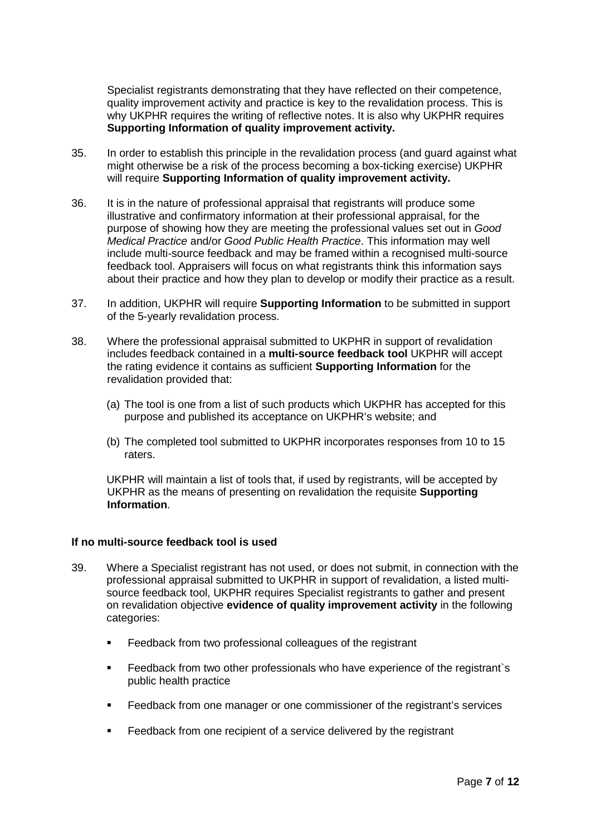Specialist registrants demonstrating that they have reflected on their competence, quality improvement activity and practice is key to the revalidation process. This is why UKPHR requires the writing of reflective notes. It is also why UKPHR requires **Supporting Information of quality improvement activity.**

- 35. In order to establish this principle in the revalidation process (and guard against what might otherwise be a risk of the process becoming a box-ticking exercise) UKPHR will require **Supporting Information of quality improvement activity.**
- 36. It is in the nature of professional appraisal that registrants will produce some illustrative and confirmatory information at their professional appraisal, for the purpose of showing how they are meeting the professional values set out in *Good Medical Practice* and/or *Good Public Health Practice*. This information may well include multi-source feedback and may be framed within a recognised multi-source feedback tool. Appraisers will focus on what registrants think this information says about their practice and how they plan to develop or modify their practice as a result.
- 37. In addition, UKPHR will require **Supporting Information** to be submitted in support of the 5-yearly revalidation process.
- 38. Where the professional appraisal submitted to UKPHR in support of revalidation includes feedback contained in a **multi-source feedback tool** UKPHR will accept the rating evidence it contains as sufficient **Supporting Information** for the revalidation provided that:
	- (a) The tool is one from a list of such products which UKPHR has accepted for this purpose and published its acceptance on UKPHR's website; and
	- (b) The completed tool submitted to UKPHR incorporates responses from 10 to 15 raters.

UKPHR will maintain a list of tools that, if used by registrants, will be accepted by UKPHR as the means of presenting on revalidation the requisite **Supporting Information**.

#### **If no multi-source feedback tool is used**

- 39. Where a Specialist registrant has not used, or does not submit, in connection with the professional appraisal submitted to UKPHR in support of revalidation, a listed multisource feedback tool, UKPHR requires Specialist registrants to gather and present on revalidation objective **evidence of quality improvement activity** in the following categories:
	- **Feedback from two professional colleagues of the registrant**
	- Feedback from two other professionals who have experience of the registrant`s public health practice
	- Feedback from one manager or one commissioner of the registrant's services
	- Feedback from one recipient of a service delivered by the registrant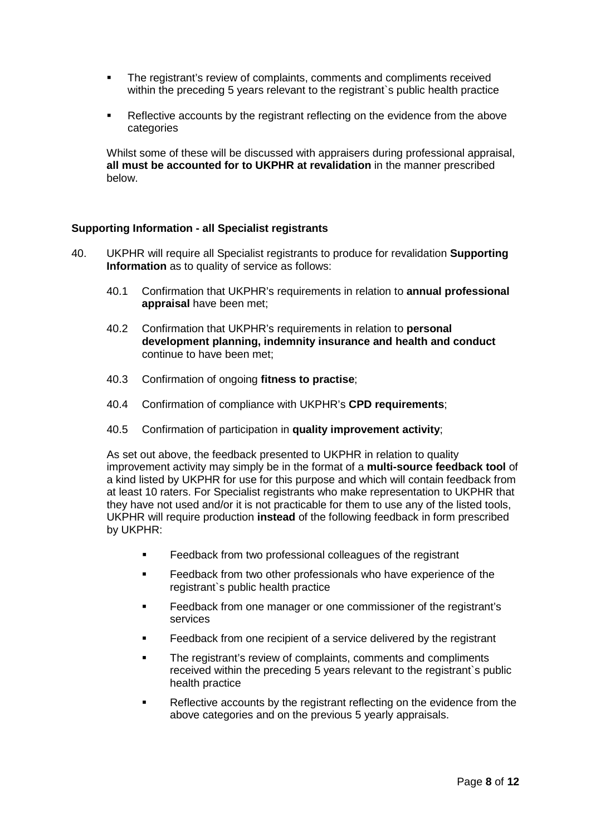- The registrant's review of complaints, comments and compliments received within the preceding 5 years relevant to the registrant's public health practice
- Reflective accounts by the registrant reflecting on the evidence from the above categories

Whilst some of these will be discussed with appraisers during professional appraisal, **all must be accounted for to UKPHR at revalidation** in the manner prescribed below.

#### **Supporting Information - all Specialist registrants**

- 40. UKPHR will require all Specialist registrants to produce for revalidation **Supporting Information** as to quality of service as follows:
	- 40.1 Confirmation that UKPHR's requirements in relation to **annual professional appraisal** have been met;
	- 40.2 Confirmation that UKPHR's requirements in relation to **personal development planning, indemnity insurance and health and conduct** continue to have been met;
	- 40.3 Confirmation of ongoing **fitness to practise**;
	- 40.4 Confirmation of compliance with UKPHR's **CPD requirements**;
	- 40.5 Confirmation of participation in **quality improvement activity**;

As set out above, the feedback presented to UKPHR in relation to quality improvement activity may simply be in the format of a **multi-source feedback tool** of a kind listed by UKPHR for use for this purpose and which will contain feedback from at least 10 raters. For Specialist registrants who make representation to UKPHR that they have not used and/or it is not practicable for them to use any of the listed tools, UKPHR will require production **instead** of the following feedback in form prescribed by UKPHR:

- **Feedback from two professional colleagues of the registrant**
- Feedback from two other professionals who have experience of the registrant`s public health practice
- Feedback from one manager or one commissioner of the registrant's services
- Feedback from one recipient of a service delivered by the registrant
- The registrant's review of complaints, comments and compliments received within the preceding 5 years relevant to the registrant`s public health practice
- Reflective accounts by the registrant reflecting on the evidence from the above categories and on the previous 5 yearly appraisals.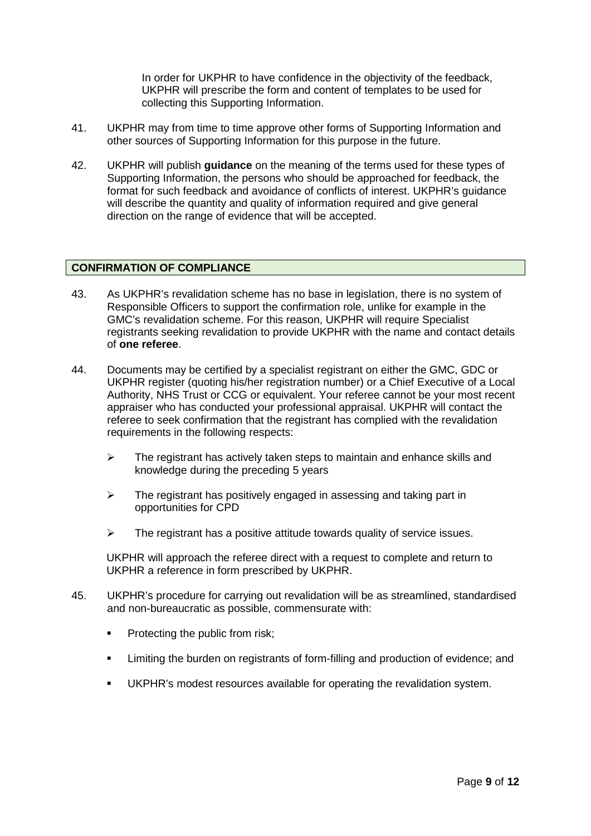In order for UKPHR to have confidence in the objectivity of the feedback, UKPHR will prescribe the form and content of templates to be used for collecting this Supporting Information.

- 41. UKPHR may from time to time approve other forms of Supporting Information and other sources of Supporting Information for this purpose in the future.
- 42. UKPHR will publish **guidance** on the meaning of the terms used for these types of Supporting Information, the persons who should be approached for feedback, the format for such feedback and avoidance of conflicts of interest. UKPHR's guidance will describe the quantity and quality of information required and give general direction on the range of evidence that will be accepted.

#### **CONFIRMATION OF COMPLIANCE**

- 43. As UKPHR's revalidation scheme has no base in legislation, there is no system of Responsible Officers to support the confirmation role, unlike for example in the GMC's revalidation scheme. For this reason, UKPHR will require Specialist registrants seeking revalidation to provide UKPHR with the name and contact details of **one referee**.
- 44. Documents may be certified by a specialist registrant on either the GMC, GDC or UKPHR register (quoting his/her registration number) or a Chief Executive of a Local Authority, NHS Trust or CCG or equivalent. Your referee cannot be your most recent appraiser who has conducted your professional appraisal. UKPHR will contact the referee to seek confirmation that the registrant has complied with the revalidation requirements in the following respects:
	- $\triangleright$  The registrant has actively taken steps to maintain and enhance skills and knowledge during the preceding 5 years
	- $\triangleright$  The registrant has positively engaged in assessing and taking part in opportunities for CPD
	- $\triangleright$  The registrant has a positive attitude towards quality of service issues.

UKPHR will approach the referee direct with a request to complete and return to UKPHR a reference in form prescribed by UKPHR.

- 45. UKPHR's procedure for carrying out revalidation will be as streamlined, standardised and non-bureaucratic as possible, commensurate with:
	- **•** Protecting the public from risk;
	- Limiting the burden on registrants of form-filling and production of evidence; and
	- UKPHR's modest resources available for operating the revalidation system.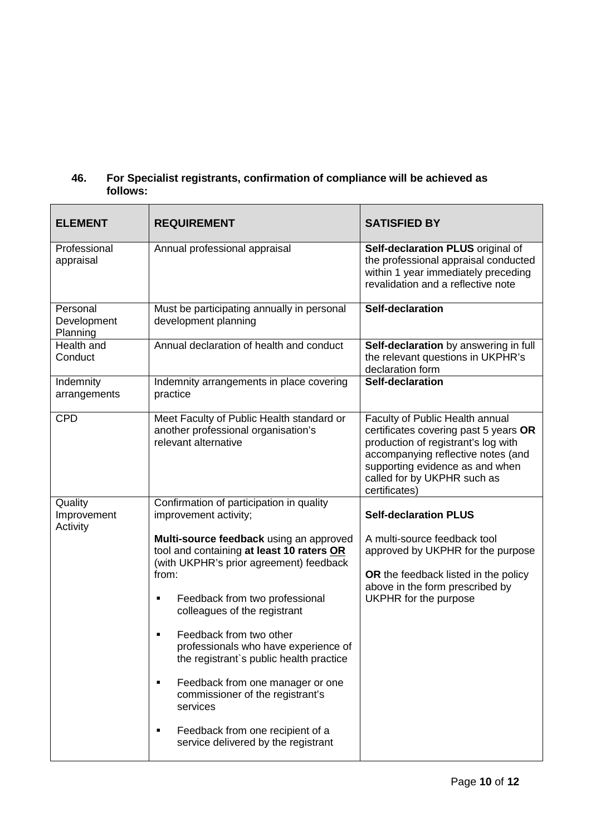#### **46. For Specialist registrants, confirmation of compliance will be achieved as follows:**

| <b>ELEMENT</b>                      | <b>REQUIREMENT</b>                                                                                                                                                                                                                                                                                                                                                                                                                                                                                          | <b>SATISFIED BY</b>                                                                                                                                                                                                                      |
|-------------------------------------|-------------------------------------------------------------------------------------------------------------------------------------------------------------------------------------------------------------------------------------------------------------------------------------------------------------------------------------------------------------------------------------------------------------------------------------------------------------------------------------------------------------|------------------------------------------------------------------------------------------------------------------------------------------------------------------------------------------------------------------------------------------|
| Professional<br>appraisal           | Annual professional appraisal                                                                                                                                                                                                                                                                                                                                                                                                                                                                               | Self-declaration PLUS original of<br>the professional appraisal conducted<br>within 1 year immediately preceding<br>revalidation and a reflective note                                                                                   |
| Personal<br>Development<br>Planning | Must be participating annually in personal<br>development planning                                                                                                                                                                                                                                                                                                                                                                                                                                          | Self-declaration                                                                                                                                                                                                                         |
| Health and<br>Conduct               | Annual declaration of health and conduct                                                                                                                                                                                                                                                                                                                                                                                                                                                                    | Self-declaration by answering in full<br>the relevant questions in UKPHR's<br>declaration form                                                                                                                                           |
| Indemnity<br>arrangements           | Indemnity arrangements in place covering<br>practice                                                                                                                                                                                                                                                                                                                                                                                                                                                        | Self-declaration                                                                                                                                                                                                                         |
| <b>CPD</b>                          | Meet Faculty of Public Health standard or<br>another professional organisation's<br>relevant alternative                                                                                                                                                                                                                                                                                                                                                                                                    | Faculty of Public Health annual<br>certificates covering past 5 years OR<br>production of registrant's log with<br>accompanying reflective notes (and<br>supporting evidence as and when<br>called for by UKPHR such as<br>certificates) |
| Quality<br>Improvement<br>Activity  | Confirmation of participation in quality<br>improvement activity;                                                                                                                                                                                                                                                                                                                                                                                                                                           | <b>Self-declaration PLUS</b>                                                                                                                                                                                                             |
|                                     | Multi-source feedback using an approved<br>tool and containing at least 10 raters OR<br>(with UKPHR's prior agreement) feedback<br>from:<br>Feedback from two professional<br>٠<br>colleagues of the registrant<br>Feedback from two other<br>٠<br>professionals who have experience of<br>the registrant's public health practice<br>Feedback from one manager or one<br>٠<br>commissioner of the registrant's<br>services<br>Feedback from one recipient of a<br>٠<br>service delivered by the registrant | A multi-source feedback tool<br>approved by UKPHR for the purpose<br>OR the feedback listed in the policy<br>above in the form prescribed by<br>UKPHR for the purpose                                                                    |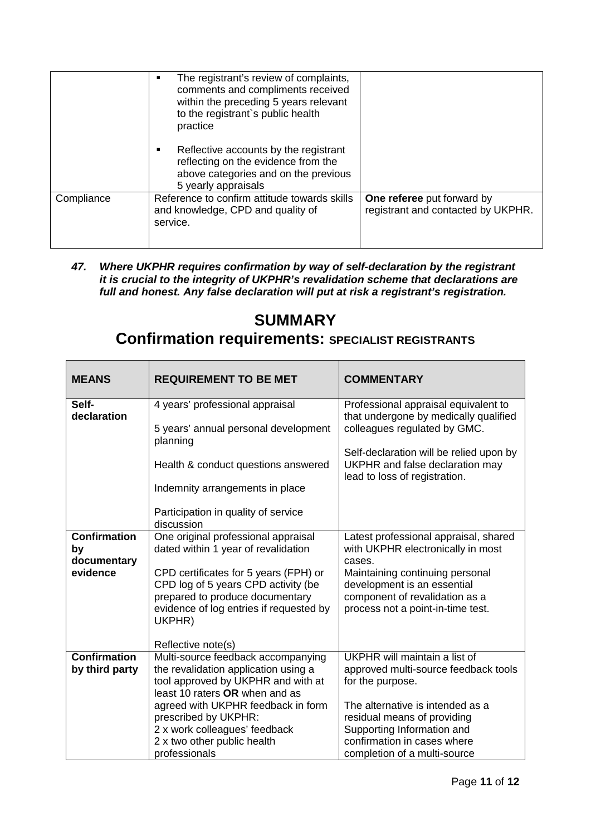|            | The registrant's review of complaints,<br>٠<br>comments and compliments received<br>within the preceding 5 years relevant<br>to the registrant's public health<br>practice |                                                                  |
|------------|----------------------------------------------------------------------------------------------------------------------------------------------------------------------------|------------------------------------------------------------------|
|            | Reflective accounts by the registrant<br>٠<br>reflecting on the evidence from the<br>above categories and on the previous<br>5 yearly appraisals                           |                                                                  |
| Compliance | Reference to confirm attitude towards skills<br>and knowledge, CPD and quality of<br>service.                                                                              | One referee put forward by<br>registrant and contacted by UKPHR. |

*47. Where UKPHR requires confirmation by way of self-declaration by the registrant it is crucial to the integrity of UKPHR's revalidation scheme that declarations are full and honest. Any false declaration will put at risk a registrant's registration.*

## **SUMMARY**

### **Confirmation requirements: SPECIALIST REGISTRANTS**

| <b>MEANS</b>                          | <b>REQUIREMENT TO BE MET</b>                                                         | <b>COMMENTARY</b>                                                                                           |
|---------------------------------------|--------------------------------------------------------------------------------------|-------------------------------------------------------------------------------------------------------------|
| Self-<br>declaration                  | 4 years' professional appraisal                                                      | Professional appraisal equivalent to<br>that undergone by medically qualified                               |
|                                       | 5 years' annual personal development<br>planning                                     | colleagues regulated by GMC.                                                                                |
|                                       | Health & conduct questions answered                                                  | Self-declaration will be relied upon by<br>UKPHR and false declaration may<br>lead to loss of registration. |
|                                       | Indemnity arrangements in place                                                      |                                                                                                             |
|                                       | Participation in quality of service<br>discussion                                    |                                                                                                             |
| <b>Confirmation</b><br>by             | One original professional appraisal<br>dated within 1 year of revalidation           | Latest professional appraisal, shared<br>with UKPHR electronically in most                                  |
| documentary<br>evidence               | CPD certificates for 5 years (FPH) or<br>CPD log of 5 years CPD activity (be         | cases.<br>Maintaining continuing personal<br>development is an essential                                    |
|                                       | prepared to produce documentary<br>evidence of log entries if requested by<br>UKPHR) | component of revalidation as a<br>process not a point-in-time test.                                         |
|                                       | Reflective note(s)                                                                   |                                                                                                             |
| <b>Confirmation</b><br>by third party | Multi-source feedback accompanying<br>the revalidation application using a           | UKPHR will maintain a list of<br>approved multi-source feedback tools                                       |
|                                       | tool approved by UKPHR and with at                                                   | for the purpose.                                                                                            |
|                                       | least 10 raters OR when and as                                                       |                                                                                                             |
|                                       | agreed with UKPHR feedback in form<br>prescribed by UKPHR:                           | The alternative is intended as a<br>residual means of providing                                             |
|                                       | 2 x work colleagues' feedback                                                        | Supporting Information and                                                                                  |
|                                       | 2 x two other public health                                                          | confirmation in cases where                                                                                 |
|                                       | professionals                                                                        | completion of a multi-source                                                                                |